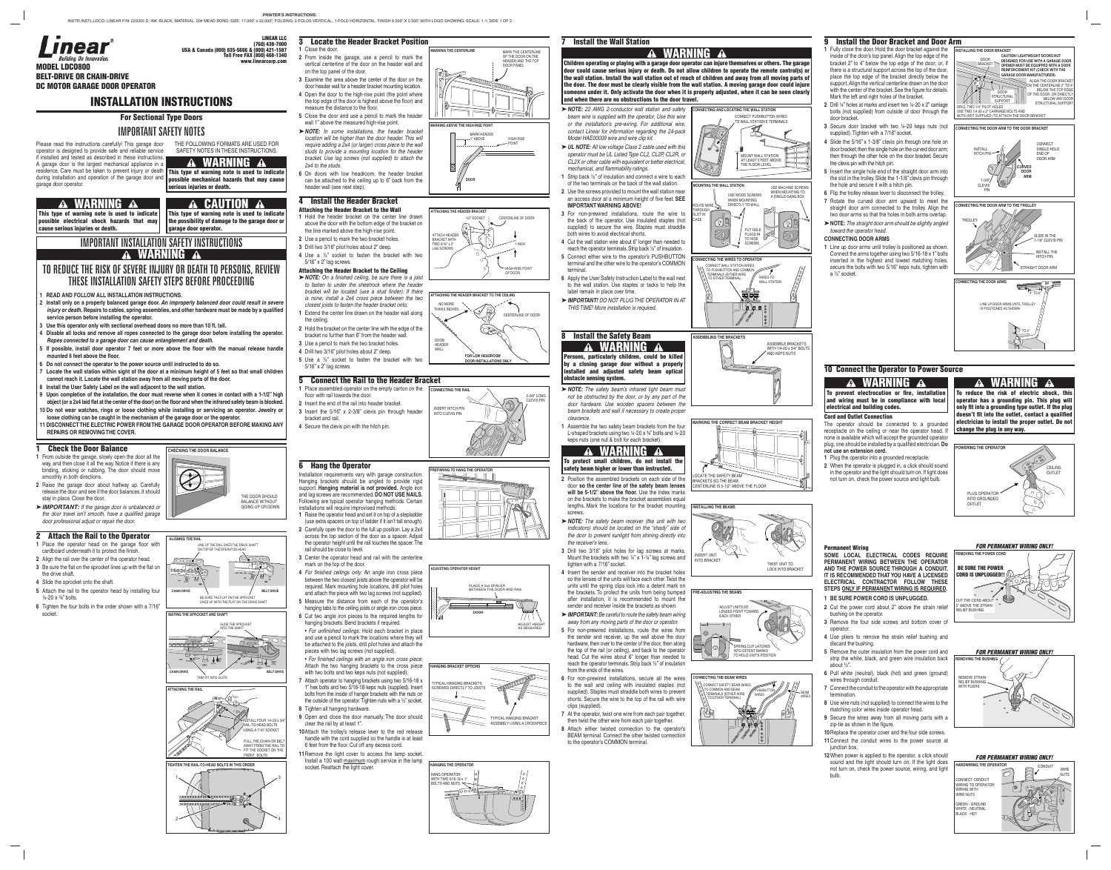- **4** Slide the sprocket onto the shaft.
- 
- **5** Attach the rail to the operator head by installing four ¼-20 x ¾" bolts.
- **6** Tighten the four bolts in the order shown with a 7/16" socket.

• For unfinished ceilings: Hold each bracket in place and use a pencil to mark the locations where they will be attached to the joists, drill pilot holes and attach the

- clear the rail by at least 1". **10** Attach the trolley's release lever to the red release handle with the cord supplied so the handle is at least 6 feet from the floor. Cut off any excess cord.
- **11** Remove the light cover to access the lamp socket. Install a 100 watt maximum rough service in the lamp socket. Reattach the light cover.
- YPICAL HANGING BRACKETS CREWED DIRECTLY TO JOISTS

B AND RAIL

between the two closest joists above the operator will be required. Mark mounting hole locations, drill pilot holes and attach the piece with two lag screws (not supplied).

hanging tabs to the ceiling joists or angle iron cross piece.

hanging brackets. Bend brackets if required.

- **5** Measure the distance from each of the operator's **6** Cut two angle iron pieces to the required lengths for
	- pieces with two lag screws (not supplied). • *For fi nished ceilings with an angle iron cross piece:* Attach the two hanging brackets to the cross piece **HANGING BRACKET OPTIONS** with two bolts and two keps nuts (not supplied). **7** Attach operator to hanging brackets using two 5/16-18 x 1" hex bolts and two 5/16-18 keps nuts (supplied). Insert bolts from the inside of hanger brackets with the nuts on the outside of the operator. Tighten nuts with a ½" socket.
		- **8** Tighten all hanging hardware. **9** Open and close the door manually. The door should
- **1** Fully close the door. Hold the door bracket against the **INSTALLING THE DOOR BRACKET** inside of the door's top panel. Align the top edge of the bracket 2" to 4" below the top edge of the door; or, if there is a structural support across the top of the door, place the top edge of the bracket directly below the support. Align the vertical centerline drawn on the door with the center of the bracket. See the figure for details. Mark the left and right holes of the bracket.
- **2** Drill ¼" holes at marks and insert two ¼-20 x 2" carriage bolts (not supplied) from outside of door through the door bracket.
- **3** Secure door bracket with two ¼-20 keps nuts (not supplied). Tighten with a 7/16" socket.
- **4** Slide the 5/16" x 1-3/8" clevis pin through one hole on door bracket; then the single hole on the curved door arm; then through the other hole on the door bracket. Secure the clevis pin with the hitch pin.
- **5** Insert the single hole end of the straight door arm into the slot in the trolley. Slide the 1-1/8" clevis pin through the hole and secure it with a hitch pin.
- **6** Flip the trolley release lever to disconnect the trolley. **7** Rotate the curved door arm upward to meet the
- straight door arm connected to the trolley. Align the two door arms so that the holes in both arms overlap. ➤ **NOTE:** *The straight door arm should be slightly angled*
- *toward the operator head.*  **CONNECTING DOOR ARMS**
- **1** Line up door arms until trolley is positioned as shown. Connect the arms together using two 5/16-18 x 1" bolts inserted in the highest and lowest matching holes, secure the bolts with two 5/16" keps nuts, tighten with a ½" socket.

*beam wire is supplied with the operator, Use this wire or the installation's pre-wiring. For additional wire, contact Linear for information regarding the 24-pack* 

*operator must be UL Listed Type CL2, CL2P, CL2R, or CL2X or other cable with equivalent or better electrical,* 

an access door at a minimum height of five feet. SEE

ADJUST HE AS REQUIRED the back of the operator. Use insulated staples (not supplied) to secure the wire. Staples must straddle

reach the operator terminals. Strip back ½" of insulation. terminal and the other wire to the operator's COMMON

to the wall station. Use staples or tacks to help the

*not be obstructed by the door, or by any part of the door hardware. Use wooden spacers between the beam brackets and wall if necessary to create proper* 

L-shaped brackets using two ¼-20 x ¾" bolts and ¼-20

door **so the center line of the safety beam lenses**  will be 5-1/2" above the floor. Use the index marks on the brackets to make the bracket assemblies equal lengths. Mark the locations for the bracket mounting

*indicators) should be located on the "shady" side of the door to prevent sunlight from shining directly into* 

Mount the brackets with two ¼" x 1-¼" lag screws and

so the lenses of the units will face each other. Twist the units until the spring clips lock into a detent mark on the brackets. To protect the units from being bumped after installation, it is recommended to mount the sender and receiver inside the brackets as shown.

➤ *IMPORTANT: Be careful to route the safety beam wiring away from any moving parts of the door or operator.*

**5** For non-prewired installations, route the wires from the sender and receiver, up the wall above the door hardware, then over to the center of the door, then along the top of the rail (or ceiling), and back to the operator head. Cut the wires about 6" longer than needed to reach the operator terminals. Strip back ½" of insulation

from the ends of the wires.

**6** For non-prewired installations, secure all the wires to the wall and ceiling with insulated staples (not supplied). Staples must straddle both wires to prevent shorts. Secure the wire to the top of the rail with wire



- clips (supplied). **7** At the operator, twist one wire from each pair together,
	- then twist the other wire from each pair together.

**8** Attach either twisted connection to the operator's

# **9 Install the Door Bracket and Door Arm**

# **10 Connect the Operator to Power Source**

The operator should be connected to a grounded receptacle on the ceiling or near the operator head. If none is available which will accept the grounded operator plug, one should be installed by a qualified electrician. Do **not use an extension cord.**

- **1** Plug the operator into a grounded receptacle.
- **2** When the operator is plugged in, a click should sound in the operator and the light should turn on. If light does not turn on, check the power source and light bulb.

### **Permanent Wiring**

**SOME LOCAL ELECTRICAL CODES REQUIRE PERMANENT WIRING BETWEEN THE OPERATOR AND THE POWER SOURCE THROUGH A CONDUIT. IT IS RECOMMENDED THAT YOU HAVE A LICENSED ELECTRICAL CONTRACTOR FOLLOW THESE STEPS ONLY IF PERMANENT WIRING IS REQUIRED.**

- BEAM terminal. Connect the other twisted connection to the operator's COMMON terminal.
- ANG OPERATOR WITH TWO 5/16-18 x 1" BOLTS AND NUTS **HANGING THE OPERATOR**

- **1 BE SURE POWER CORD IS UNPLUGGED.**
- **2** Cut the power cord about 2" above the strain relief bushing on the operator.
- **3** Remove the four side screws and bottom cover of operator.
- **4** Use pliers to remove the strain relief bushing and discard the bushing.
- **5** Remove the outer insulation from the power cord and strip the white, black, and green wire insulation back **REMOVING THE BUSHING** about ½".
- **6** Pull white (neutral), black (hot) and green (ground) wires through conduit.
- **7** Connect the conduit to the operator with the appropriate termination.
- **8** Use wire nuts (not supplied) to connect the wires to the matching color wires inside operator head.
- **9** Secure the wires away from all moving parts with a zip-tie as shown in the figure.
- **10** Replace the operator cover and the four side screws. **11** Connect the conduit wires to the power source at junction box.
- **12** When power is applied to the operator, a click should sound and the light should turn on. If the light does not turn on, check the power source, wiring, and light bulb.

# **WARNING**

**Children operating or playing with a garage door operator can injure themselves or others. The garage door could cause serious injury or death. Do not allow children to operate the remote control(s) or the wall station. Install the wall station out of reach of children and away from all moving parts of the door. The door must be clearly visible from the wall station. A moving garage door could injure someone under it. Only activate the door when it is properly adjusted, when it can be seen clearly and when there are no obstructions to the door travel.**

**Persons, particularly children, could be killed** 



#### **Cord and Outlet Connection**  $\sf NG$ **To prevent electrocution or fire, installation and wiring must be in compliance with local electrical and building codes.**

TYPICAL HANGING BRACKET ASSEMBLY USING A CROSSPIECE

PLACE A 2x4 SPACER

**DOOR**

 $\frac{1}{2}$   $\frac{1}{2}$ 





















## **WARNING To reduce the risk of electric shock, this operator has a grounding pin. This plug will only fit into a grounding type outlet. If the plug** doesn't fit into the outlet, contact a qualified **electrician to install the proper outlet. Do not change the plug in any way.**





*FOR PERMANENT WIRING ONLY!*







# *FOR PERMANENT WIRING ONLY!*